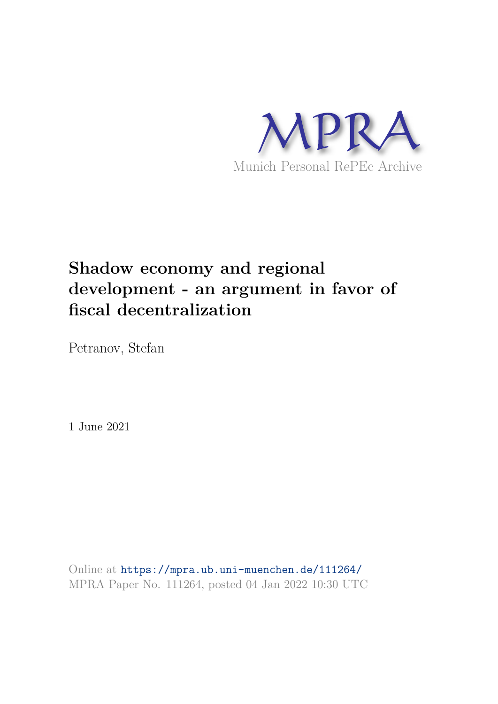

# **Shadow economy and regional development - an argument in favor of fiscal decentralization**

Petranov, Stefan

1 June 2021

Online at https://mpra.ub.uni-muenchen.de/111264/ MPRA Paper No. 111264, posted 04 Jan 2022 10:30 UTC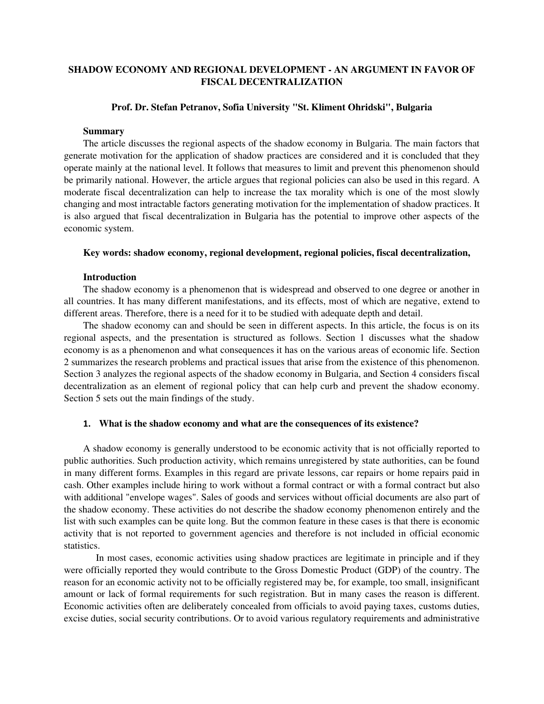# **SHADOW ECONOMY AND REGIONAL DEVELOPMENT - AN ARGUMENT IN FAVOR OF FISCAL DECENTRALIZATION**

# **Prof. Dr. Stefan Petranov, Sofia University "St. Kliment Ohridski", Bulgaria**

## **Summary**

The article discusses the regional aspects of the shadow economy in Bulgaria. The main factors that generate motivation for the application of shadow practices are considered and it is concluded that they operate mainly at the national level. It follows that measures to limit and prevent this phenomenon should be primarily national. However, the article argues that regional policies can also be used in this regard. A moderate fiscal decentralization can help to increase the tax morality which is one of the most slowly changing and most intractable factors generating motivation for the implementation of shadow practices. It is also argued that fiscal decentralization in Bulgaria has the potential to improve other aspects of the economic system.

#### **Key words: shadow economy, regional development, regional policies, fiscal decentralization,**

### **Introduction**

The shadow economy is a phenomenon that is widespread and observed to one degree or another in all countries. It has many different manifestations, and its effects, most of which are negative, extend to different areas. Therefore, there is a need for it to be studied with adequate depth and detail.

The shadow economy can and should be seen in different aspects. In this article, the focus is on its regional aspects, and the presentation is structured as follows. Section 1 discusses what the shadow economy is as a phenomenon and what consequences it has on the various areas of economic life. Section 2 summarizes the research problems and practical issues that arise from the existence of this phenomenon. Section 3 analyzes the regional aspects of the shadow economy in Bulgaria, and Section 4 considers fiscal decentralization as an element of regional policy that can help curb and prevent the shadow economy. Section 5 sets out the main findings of the study.

# **1. What is the shadow economy and what are the consequences of its existence?**

A shadow economy is generally understood to be economic activity that is not officially reported to public authorities. Such production activity, which remains unregistered by state authorities, can be found in many different forms. Examples in this regard are private lessons, car repairs or home repairs paid in cash. Other examples include hiring to work without a formal contract or with a formal contract but also with additional "envelope wages". Sales of goods and services without official documents are also part of the shadow economy. These activities do not describe the shadow economy phenomenon entirely and the list with such examples can be quite long. But the common feature in these cases is that there is economic activity that is not reported to government agencies and therefore is not included in official economic statistics.

In most cases, economic activities using shadow practices are legitimate in principle and if they were officially reported they would contribute to the Gross Domestic Product (GDP) of the country. The reason for an economic activity not to be officially registered may be, for example, too small, insignificant amount or lack of formal requirements for such registration. But in many cases the reason is different. Economic activities often are deliberately concealed from officials to avoid paying taxes, customs duties, excise duties, social security contributions. Or to avoid various regulatory requirements and administrative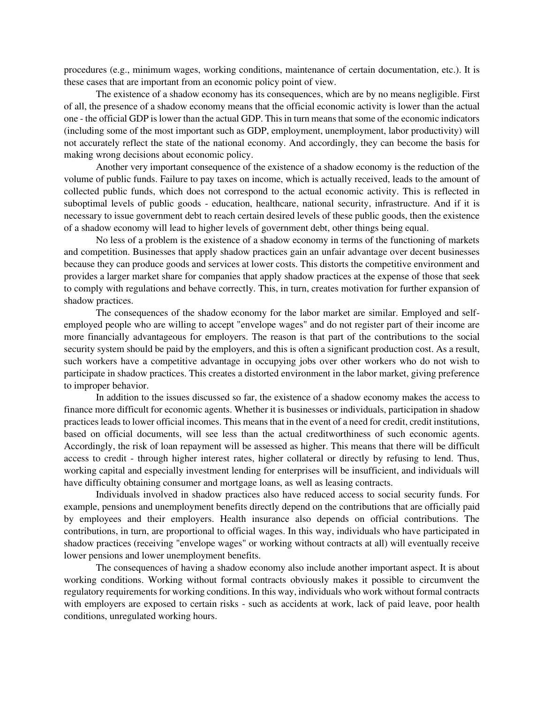procedures (e.g., minimum wages, working conditions, maintenance of certain documentation, etc.). It is these cases that are important from an economic policy point of view.

The existence of a shadow economy has its consequences, which are by no means negligible. First of all, the presence of a shadow economy means that the official economic activity is lower than the actual one - the official GDP is lower than the actual GDP. This in turn means that some of the economic indicators (including some of the most important such as GDP, employment, unemployment, labor productivity) will not accurately reflect the state of the national economy. And accordingly, they can become the basis for making wrong decisions about economic policy.

Another very important consequence of the existence of a shadow economy is the reduction of the volume of public funds. Failure to pay taxes on income, which is actually received, leads to the amount of collected public funds, which does not correspond to the actual economic activity. This is reflected in suboptimal levels of public goods - education, healthcare, national security, infrastructure. And if it is necessary to issue government debt to reach certain desired levels of these public goods, then the existence of a shadow economy will lead to higher levels of government debt, other things being equal.

No less of a problem is the existence of a shadow economy in terms of the functioning of markets and competition. Businesses that apply shadow practices gain an unfair advantage over decent businesses because they can produce goods and services at lower costs. This distorts the competitive environment and provides a larger market share for companies that apply shadow practices at the expense of those that seek to comply with regulations and behave correctly. This, in turn, creates motivation for further expansion of shadow practices.

The consequences of the shadow economy for the labor market are similar. Employed and selfemployed people who are willing to accept "envelope wages" and do not register part of their income are more financially advantageous for employers. The reason is that part of the contributions to the social security system should be paid by the employers, and this is often a significant production cost. As a result, such workers have a competitive advantage in occupying jobs over other workers who do not wish to participate in shadow practices. This creates a distorted environment in the labor market, giving preference to improper behavior.

In addition to the issues discussed so far, the existence of a shadow economy makes the access to finance more difficult for economic agents. Whether it is businesses or individuals, participation in shadow practices leads to lower official incomes. This means that in the event of a need for credit, credit institutions, based on official documents, will see less than the actual creditworthiness of such economic agents. Accordingly, the risk of loan repayment will be assessed as higher. This means that there will be difficult access to credit - through higher interest rates, higher collateral or directly by refusing to lend. Thus, working capital and especially investment lending for enterprises will be insufficient, and individuals will have difficulty obtaining consumer and mortgage loans, as well as leasing contracts.

Individuals involved in shadow practices also have reduced access to social security funds. For example, pensions and unemployment benefits directly depend on the contributions that are officially paid by employees and their employers. Health insurance also depends on official contributions. The contributions, in turn, are proportional to official wages. In this way, individuals who have participated in shadow practices (receiving "envelope wages" or working without contracts at all) will eventually receive lower pensions and lower unemployment benefits.

The consequences of having a shadow economy also include another important aspect. It is about working conditions. Working without formal contracts obviously makes it possible to circumvent the regulatory requirements for working conditions. In this way, individuals who work without formal contracts with employers are exposed to certain risks - such as accidents at work, lack of paid leave, poor health conditions, unregulated working hours.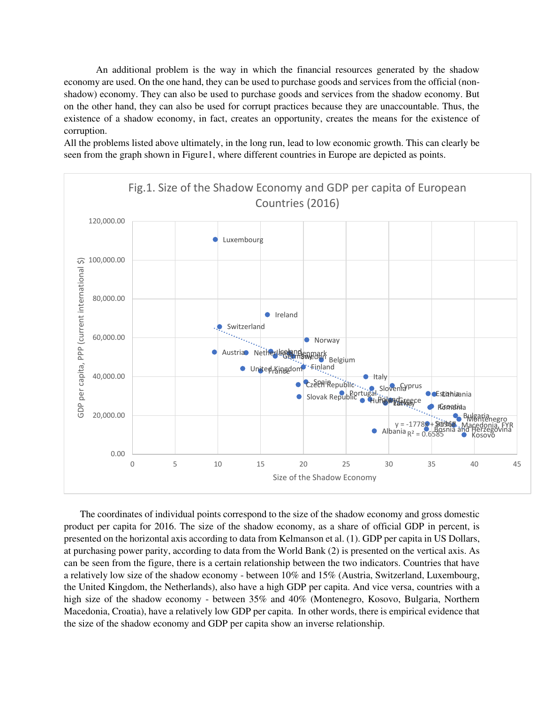An additional problem is the way in which the financial resources generated by the shadow economy are used. On the one hand, they can be used to purchase goods and services from the official (nonshadow) economy. They can also be used to purchase goods and services from the shadow economy. But on the other hand, they can also be used for corrupt practices because they are unaccountable. Thus, the existence of a shadow economy, in fact, creates an opportunity, creates the means for the existence of corruption.

All the problems listed above ultimately, in the long run, lead to low economic growth. This can clearly be seen from the graph shown in Figure1, where different countries in Europe are depicted as points.



The coordinates of individual points correspond to the size of the shadow economy and gross domestic product per capita for 2016. The size of the shadow economy, as a share of official GDP in percent, is presented on the horizontal axis according to data from Kelmanson et al. (1). GDP per capita in US Dollars, at purchasing power parity, according to data from the World Bank (2) is presented on the vertical axis. As can be seen from the figure, there is a certain relationship between the two indicators. Countries that have a relatively low size of the shadow economy - between 10% and 15% (Austria, Switzerland, Luxembourg, the United Kingdom, the Netherlands), also have a high GDP per capita. And vice versa, countries with a high size of the shadow economy - between 35% and 40% (Montenegro, Kosovo, Bulgaria, Northern Macedonia, Croatia), have a relatively low GDP per capita. In other words, there is empirical evidence that the size of the shadow economy and GDP per capita show an inverse relationship.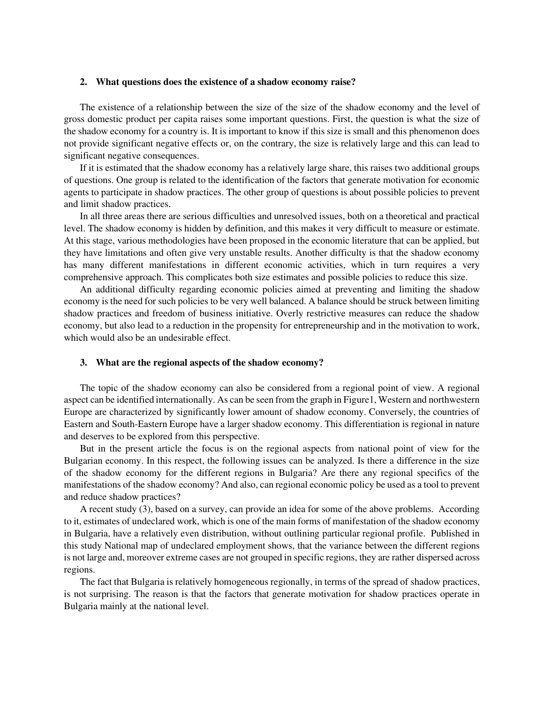## **2. What questions does the existence of a shadow economy raise?**

The existence of a relationship between the size of the size of the shadow economy and the level of gross domestic product per capita raises some important questions. First, the question is what the size of the shadow economy for a country is. It is important to know if this size is small and this phenomenon does not provide significant negative effects or, on the contrary, the size is relatively large and this can lead to significant negative consequences.

If it is estimated that the shadow economy has a relatively large share, this raises two additional groups of questions. One group is related to the identification of the factors that generate motivation for economic agents to participate in shadow practices. The other group of questions is about possible policies to prevent and limit shadow practices.

In all three areas there are serious difficulties and unresolved issues, both on a theoretical and practical level. The shadow economy is hidden by definition, and this makes it very difficult to measure or estimate. At this stage, various methodologies have been proposed in the economic literature that can be applied, but they have limitations and often give very unstable results. Another difficulty is that the shadow economy has many different manifestations in different economic activities, which in turn requires a very comprehensive approach. This complicates both size estimates and possible policies to reduce this size.

An additional difficulty regarding economic policies aimed at preventing and limiting the shadow economy is the need for such policies to be very well balanced. A balance should be struck between limiting shadow practices and freedom of business initiative. Overly restrictive measures can reduce the shadow economy, but also lead to a reduction in the propensity for entrepreneurship and in the motivation to work, which would also be an undesirable effect.

## **3. What are the regional aspects of the shadow economy?**

The topic of the shadow economy can also be considered from a regional point of view. A regional aspect can be identified internationally. As can be seen from the graph in Figure1, Western and northwestern Europe are characterized by significantly lower amount of shadow economy. Conversely, the countries of Eastern and South-Eastern Europe have a larger shadow economy. This differentiation is regional in nature and deserves to be explored from this perspective.

But in the present article the focus is on the regional aspects from national point of view for the Bulgarian economy. In this respect, the following issues can be analyzed. Is there a difference in the size of the shadow economy for the different regions in Bulgaria? Are there any regional specifics of the manifestations of the shadow economy? And also, can regional economic policy be used as a tool to prevent and reduce shadow practices?

A recent study (3), based on a survey, can provide an idea for some of the above problems. According to it, estimates of undeclared work, which is one of the main forms of manifestation of the shadow economy in Bulgaria, have a relatively even distribution, without outlining particular regional profile. Published in this study National map of undeclared employment shows, that the variance between the different regions is not large and, moreover extreme cases are not grouped in specific regions, they are rather dispersed across regions.

The fact that Bulgaria is relatively homogeneous regionally, in terms of the spread of shadow practices, is not surprising. The reason is that the factors that generate motivation for shadow practices operate in Bulgaria mainly at the national level.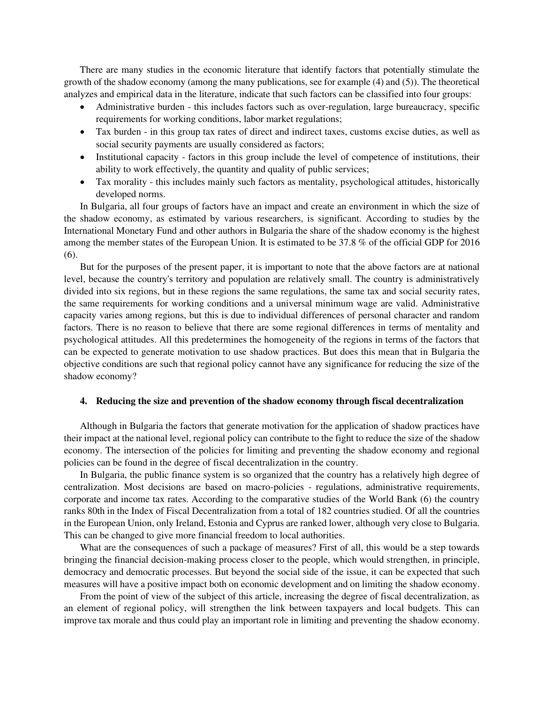There are many studies in the economic literature that identify factors that potentially stimulate the growth of the shadow economy (among the many publications, see for example (4) and (5)). The theoretical analyzes and empirical data in the literature, indicate that such factors can be classified into four groups:

- Administrative burden this includes factors such as over-regulation, large bureaucracy, specific requirements for working conditions, labor market regulations;
- Tax burden in this group tax rates of direct and indirect taxes, customs excise duties, as well as social security payments are usually considered as factors;
- Institutional capacity factors in this group include the level of competence of institutions, their ability to work effectively, the quantity and quality of public services;
- Tax morality this includes mainly such factors as mentality, psychological attitudes, historically developed norms.

In Bulgaria, all four groups of factors have an impact and create an environment in which the size of the shadow economy, as estimated by various researchers, is significant. According to studies by the International Monetary Fund and other authors in Bulgaria the share of the shadow economy is the highest among the member states of the European Union. It is estimated to be 37.8 % of the official GDP for 2016 (6).

But for the purposes of the present paper, it is important to note that the above factors are at national level, because the country's territory and population are relatively small. The country is administratively divided into six regions, but in these regions the same regulations, the same tax and social security rates, the same requirements for working conditions and a universal minimum wage are valid. Administrative capacity varies among regions, but this is due to individual differences of personal character and random factors. There is no reason to believe that there are some regional differences in terms of mentality and psychological attitudes. All this predetermines the homogeneity of the regions in terms of the factors that can be expected to generate motivation to use shadow practices. But does this mean that in Bulgaria the objective conditions are such that regional policy cannot have any significance for reducing the size of the shadow economy?

# **4. Reducing the size and prevention of the shadow economy through fiscal decentralization**

Although in Bulgaria the factors that generate motivation for the application of shadow practices have their impact at the national level, regional policy can contribute to the fight to reduce the size of the shadow economy. The intersection of the policies for limiting and preventing the shadow economy and regional policies can be found in the degree of fiscal decentralization in the country.

In Bulgaria, the public finance system is so organized that the country has a relatively high degree of centralization. Most decisions are based on macro-policies - regulations, administrative requirements, corporate and income tax rates. According to the comparative studies of the World Bank (6) the country ranks 80th in the Index of Fiscal Decentralization from a total of 182 countries studied. Of all the countries in the European Union, only Ireland, Estonia and Cyprus are ranked lower, although very close to Bulgaria. This can be changed to give more financial freedom to local authorities.

What are the consequences of such a package of measures? First of all, this would be a step towards bringing the financial decision-making process closer to the people, which would strengthen, in principle, democracy and democratic processes. But beyond the social side of the issue, it can be expected that such measures will have a positive impact both on economic development and on limiting the shadow economy.

From the point of view of the subject of this article, increasing the degree of fiscal decentralization, as an element of regional policy, will strengthen the link between taxpayers and local budgets. This can improve tax morale and thus could play an important role in limiting and preventing the shadow economy.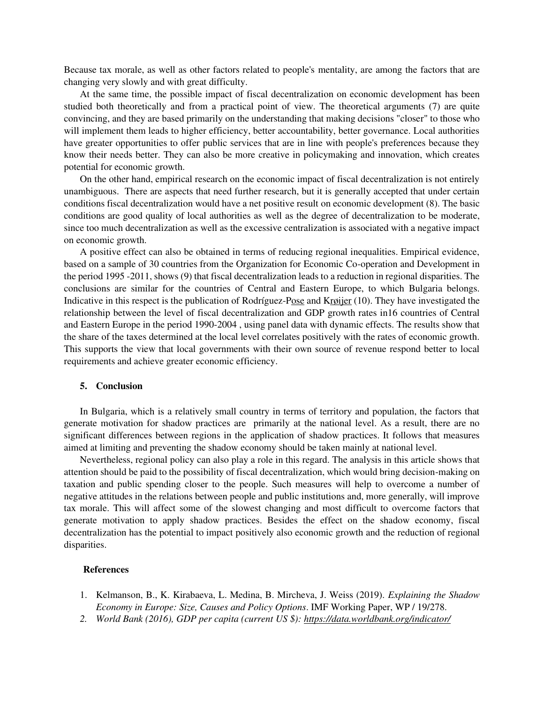Because tax morale, as well as other factors related to people's mentality, are among the factors that are changing very slowly and with great difficulty.

At the same time, the possible impact of fiscal decentralization on economic development has been studied both theoretically and from a practical point of view. The theoretical arguments (7) are quite convincing, and they are based primarily on the understanding that making decisions "closer" to those who will implement them leads to higher efficiency, better accountability, better governance. Local authorities have greater opportunities to offer public services that are in line with people's preferences because they know their needs better. They can also be more creative in policymaking and innovation, which creates potential for economic growth.

On the other hand, empirical research on the economic impact of fiscal decentralization is not entirely unambiguous. There are aspects that need further research, but it is generally accepted that under certain conditions fiscal decentralization would have a net positive result on economic development (8). The basic conditions are good quality of local authorities as well as the degree of decentralization to be moderate, since too much decentralization as well as the excessive centralization is associated with a negative impact on economic growth.

A positive effect can also be obtained in terms of reducing regional inequalities. Empirical evidence, based on a sample of 30 countries from the Organization for Economic Co-operation and Development in the period 1995 -2011, shows (9) that fiscal decentralization leads to a reduction in regional disparities. The conclusions are similar for the countries of Central and Eastern Europe, to which Bulgaria belongs. Indicative in this respect is the publication of Rodríguez-[Pose](https://translate.google.com/translate?hl=bg&prev=_t&sl=bg&tl=en&u=https://onlinelibrary.wiley.com/action/doSearch%3FContribAuthorStored%3DRODR%25C3%258DGUEZ-POSE%252C%2BANDR%25C3%2589S) and [Krøijer](https://translate.google.com/translate?hl=bg&prev=_t&sl=bg&tl=en&u=https://onlinelibrary.wiley.com/action/doSearch%3FContribAuthorStored%3DKR%25C3%2598IJER%252C%2BANNE) (10). They have investigated the relationship between the level of fiscal decentralization and GDP growth rates in16 countries of Central and Eastern Europe in the period 1990-2004 , using panel data with dynamic effects. The results show that the share of the taxes determined at the local level correlates positively with the rates of economic growth. This supports the view that local governments with their own source of revenue respond better to local requirements and achieve greater economic efficiency.

# **5. Conclusion**

In Bulgaria, which is a relatively small country in terms of territory and population, the factors that generate motivation for shadow practices are primarily at the national level. As a result, there are no significant differences between regions in the application of shadow practices. It follows that measures aimed at limiting and preventing the shadow economy should be taken mainly at national level.

Nevertheless, regional policy can also play a role in this regard. The analysis in this article shows that attention should be paid to the possibility of fiscal decentralization, which would bring decision-making on taxation and public spending closer to the people. Such measures will help to overcome a number of negative attitudes in the relations between people and public institutions and, more generally, will improve tax morale. This will affect some of the slowest changing and most difficult to overcome factors that generate motivation to apply shadow practices. Besides the effect on the shadow economy, fiscal decentralization has the potential to impact positively also economic growth and the reduction of regional disparities.

#### **References**

- 1. Kelmanson, B., K. Kirabaeva, L. Medina, B. Mircheva, J. Weiss (2019). *Explaining the Shadow Economy in Europe: Size, Causes and Policy Options*. IMF Working Paper, WP / 19/278.
- *2. World Bank (2016), GDP per capita (current US \$): [https://data.worldbank.org/indicator/](https://translate.google.com/translate?hl=bg&prev=_t&sl=bg&tl=en&u=https://data.worldbank.org/indicator/)*